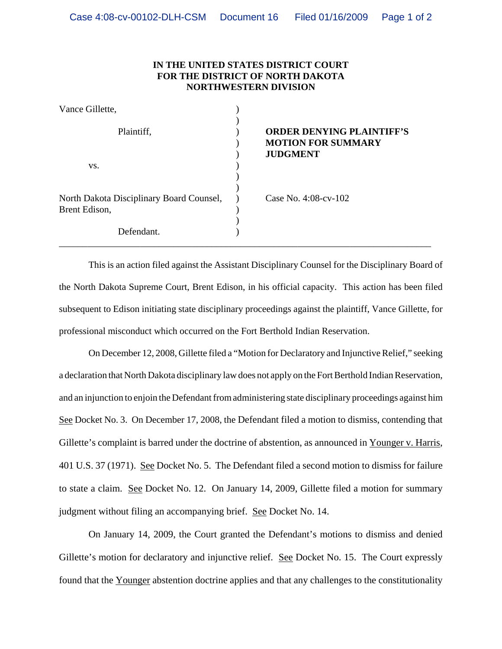## **IN THE UNITED STATES DISTRICT COURT FOR THE DISTRICT OF NORTH DAKOTA NORTHWESTERN DIVISION**

| Vance Gillette,                                           |                                                                                  |
|-----------------------------------------------------------|----------------------------------------------------------------------------------|
| Plaintiff,                                                | <b>ORDER DENYING PLAINTIFF'S</b><br><b>MOTION FOR SUMMARY</b><br><b>JUDGMENT</b> |
| VS.                                                       |                                                                                  |
| North Dakota Disciplinary Board Counsel,<br>Brent Edison, | Case No. $4:08$ -cv-102                                                          |
| Defendant.                                                |                                                                                  |

This is an action filed against the Assistant Disciplinary Counsel for the Disciplinary Board of the North Dakota Supreme Court, Brent Edison, in his official capacity. This action has been filed subsequent to Edison initiating state disciplinary proceedings against the plaintiff, Vance Gillette, for professional misconduct which occurred on the Fort Berthold Indian Reservation.

On December 12, 2008, Gillette filed a "Motion for Declaratory and Injunctive Relief," seeking a declaration that North Dakota disciplinary law does not apply on the Fort Berthold Indian Reservation, and an injunction to enjoin the Defendant from administering state disciplinary proceedings against him See Docket No. 3. On December 17, 2008, the Defendant filed a motion to dismiss, contending that Gillette's complaint is barred under the doctrine of abstention, as announced in Younger v. Harris, 401 U.S. 37 (1971). See Docket No. 5. The Defendant filed a second motion to dismiss for failure to state a claim. See Docket No. 12. On January 14, 2009, Gillette filed a motion for summary judgment without filing an accompanying brief. See Docket No. 14.

On January 14, 2009, the Court granted the Defendant's motions to dismiss and denied Gillette's motion for declaratory and injunctive relief. See Docket No. 15. The Court expressly found that the Younger abstention doctrine applies and that any challenges to the constitutionality